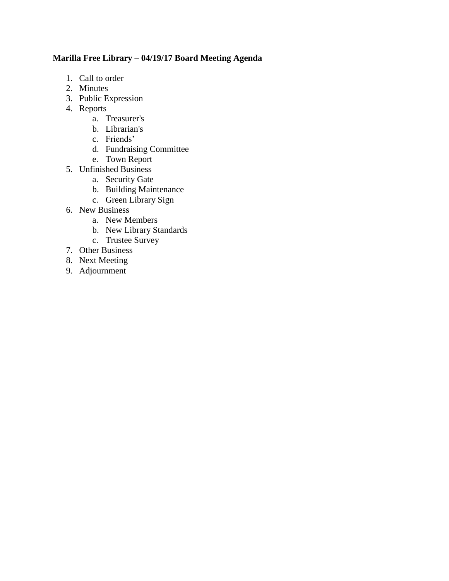# **Marilla Free Library – 04/19/17 Board Meeting Agenda**

- 1. Call to order
- 2. Minutes
- 3. Public Expression
- 4. Reports
	- a. Treasurer's
	- b. Librarian's
	- c. Friends'
	- d. Fundraising Committee
	- e. Town Report
- 5. Unfinished Business
	- a. Security Gate
	- b. Building Maintenance
	- c. Green Library Sign
- 6. New Business
	- a. New Members
	- b. New Library Standards
	- c. Trustee Survey
- 7. Other Business
- 8. Next Meeting
- 9. Adjournment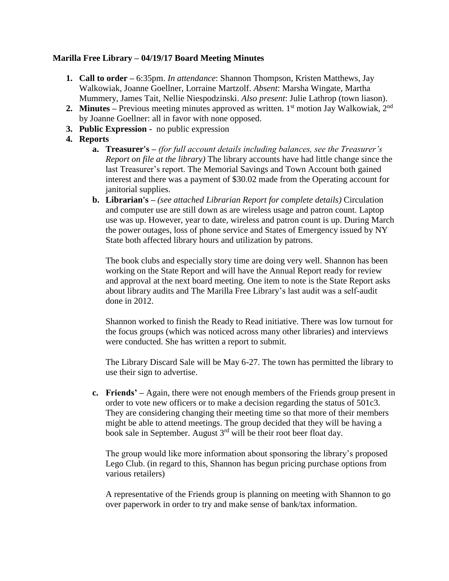## **Marilla Free Library – 04/19/17 Board Meeting Minutes**

- **1. Call to order –** 6:35pm. *In attendance*: Shannon Thompson, Kristen Matthews, Jay Walkowiak, Joanne Goellner, Lorraine Martzolf. *Absent*: Marsha Wingate, Martha Mummery, James Tait, Nellie Niespodzinski. *Also present*: Julie Lathrop (town liason).
- **2. Minutes** Previous meeting minutes approved as written. 1<sup>st</sup> motion Jay Walkowiak, 2<sup>nd</sup> by Joanne Goellner: all in favor with none opposed.
- **3. Public Expression -** no public expression
- **4. Reports**
	- **a. Treasurer's –** *(for full account details including balances, see the Treasurer's Report on file at the library)* The library accounts have had little change since the last Treasurer's report. The Memorial Savings and Town Account both gained interest and there was a payment of \$30.02 made from the Operating account for janitorial supplies.
	- **b. Librarian's –** *(see attached Librarian Report for complete details)* Circulation and computer use are still down as are wireless usage and patron count. Laptop use was up. However, year to date, wireless and patron count is up. During March the power outages, loss of phone service and States of Emergency issued by NY State both affected library hours and utilization by patrons.

The book clubs and especially story time are doing very well. Shannon has been working on the State Report and will have the Annual Report ready for review and approval at the next board meeting. One item to note is the State Report asks about library audits and The Marilla Free Library's last audit was a self-audit done in 2012.

Shannon worked to finish the Ready to Read initiative. There was low turnout for the focus groups (which was noticed across many other libraries) and interviews were conducted. She has written a report to submit.

The Library Discard Sale will be May 6-27. The town has permitted the library to use their sign to advertise.

**c. Friends' –** Again, there were not enough members of the Friends group present in order to vote new officers or to make a decision regarding the status of 501c3. They are considering changing their meeting time so that more of their members might be able to attend meetings. The group decided that they will be having a book sale in September. August 3rd will be their root beer float day.

The group would like more information about sponsoring the library's proposed Lego Club. (in regard to this, Shannon has begun pricing purchase options from various retailers)

A representative of the Friends group is planning on meeting with Shannon to go over paperwork in order to try and make sense of bank/tax information.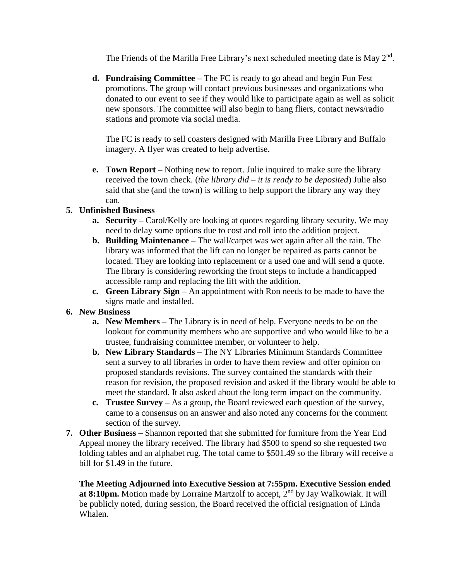The Friends of the Marilla Free Library's next scheduled meeting date is May  $2<sup>nd</sup>$ .

**d. Fundraising Committee –** The FC is ready to go ahead and begin Fun Fest promotions. The group will contact previous businesses and organizations who donated to our event to see if they would like to participate again as well as solicit new sponsors. The committee will also begin to hang fliers, contact news/radio stations and promote via social media.

The FC is ready to sell coasters designed with Marilla Free Library and Buffalo imagery. A flyer was created to help advertise.

**e. Town Report –** Nothing new to report. Julie inquired to make sure the library received the town check. (*the library did – it is ready to be deposited*) Julie also said that she (and the town) is willing to help support the library any way they can.

## **5. Unfinished Business**

- **a. Security –** Carol/Kelly are looking at quotes regarding library security. We may need to delay some options due to cost and roll into the addition project.
- **b. Building Maintenance –** The wall/carpet was wet again after all the rain. The library was informed that the lift can no longer be repaired as parts cannot be located. They are looking into replacement or a used one and will send a quote. The library is considering reworking the front steps to include a handicapped accessible ramp and replacing the lift with the addition.
- **c. Green Library Sign –** An appointment with Ron needs to be made to have the signs made and installed.

## **6. New Business**

- **a. New Members –** The Library is in need of help. Everyone needs to be on the lookout for community members who are supportive and who would like to be a trustee, fundraising committee member, or volunteer to help.
- **b. New Library Standards –** The NY Libraries Minimum Standards Committee sent a survey to all libraries in order to have them review and offer opinion on proposed standards revisions. The survey contained the standards with their reason for revision, the proposed revision and asked if the library would be able to meet the standard. It also asked about the long term impact on the community.
- **c. Trustee Survey –** As a group, the Board reviewed each question of the survey, came to a consensus on an answer and also noted any concerns for the comment section of the survey.
- **7. Other Business –** Shannon reported that she submitted for furniture from the Year End Appeal money the library received. The library had \$500 to spend so she requested two folding tables and an alphabet rug. The total came to \$501.49 so the library will receive a bill for \$1.49 in the future.

**The Meeting Adjourned into Executive Session at 7:55pm. Executive Session ended at 8:10pm.** Motion made by Lorraine Martzolf to accept, 2<sup>nd</sup> by Jay Walkowiak. It will be publicly noted, during session, the Board received the official resignation of Linda Whalen.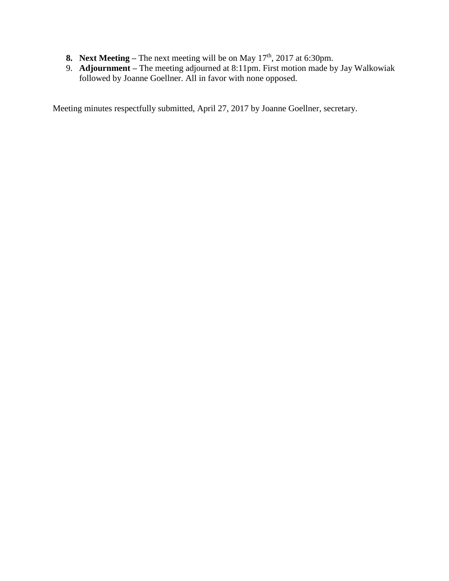- **8. Next Meeting** The next meeting will be on May  $17<sup>th</sup>$ , 2017 at 6:30pm.
- 9. **Adjournment –** The meeting adjourned at 8:11pm. First motion made by Jay Walkowiak followed by Joanne Goellner. All in favor with none opposed.

Meeting minutes respectfully submitted, April 27, 2017 by Joanne Goellner, secretary.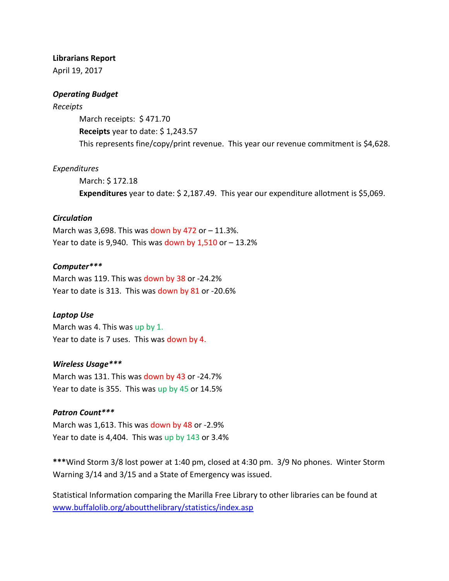#### **Librarians Report**

April 19, 2017

#### *Operating Budget*

#### *Receipts*

March receipts: \$ 471.70 **Receipts** year to date: \$ 1,243.57 This represents fine/copy/print revenue. This year our revenue commitment is \$4,628.

#### *Expenditures*

March: \$ 172.18 **Expenditures** year to date: \$ 2,187.49. This year our expenditure allotment is \$5,069.

### *Circulation*

March was 3,698. This was down by 472 or  $-11.3\%$ . Year to date is 9,940. This was down by  $1,510$  or  $-13.2\%$ 

#### *Computer\*\*\**

March was 119. This was down by 38 or -24.2% Year to date is 313. This was down by 81 or -20.6%

### *Laptop Use*

March was 4. This was up by 1. Year to date is 7 uses. This was down by 4.

#### *Wireless Usage\*\*\**

March was 131. This was down by 43 or -24.7% Year to date is 355. This was up by 45 or 14.5%

### *Patron Count\*\*\**

March was 1,613. This was down by 48 or -2.9% Year to date is 4,404. This was up by 143 or 3.4%

**\*\*\***Wind Storm 3/8 lost power at 1:40 pm, closed at 4:30 pm. 3/9 No phones. Winter Storm Warning 3/14 and 3/15 and a State of Emergency was issued.

Statistical Information comparing the Marilla Free Library to other libraries can be found at [www.buffalolib.org/aboutthelibrary/statistics/index.asp](http://www.buffalolib.org/aboutthelibrary/statistics/index.asp)